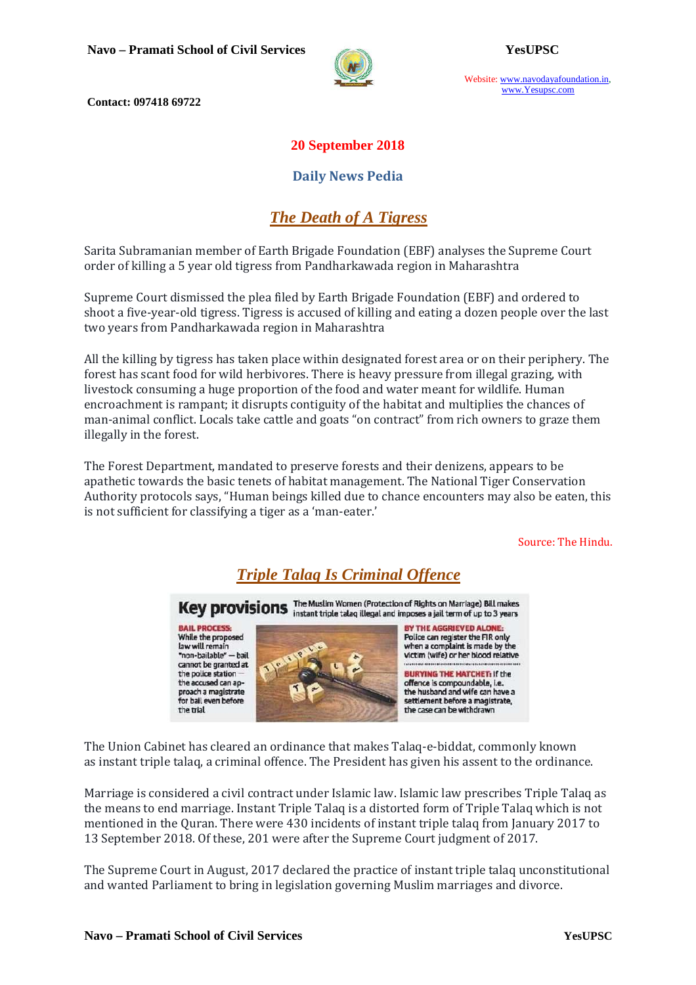

Website: www.navodayafoundation.in, www.Yesupsc.com

 **Contact: 097418 69722** 

#### **20 September 2018**

#### **Daily News Pedia**

## *The Death of A Tigress*

Sarita Subramanian member of Earth Brigade Foundation (EBF) analyses the Supreme Court order of killing a 5 year old tigress from Pandharkawada region in Maharashtra

Supreme Court dismissed the plea filed by Earth Brigade Foundation (EBF) and ordered to shoot a five-year-old tigress. Tigress is accused of killing and eating a dozen people over the last two years from Pandharkawada region in Maharashtra

All the killing by tigress has taken place within designated forest area or on their periphery. The forest has scant food for wild herbivores. There is heavy pressure from illegal grazing, with livestock consuming a huge proportion of the food and water meant for wildlife. Human encroachment is rampant; it disrupts contiguity of the habitat and multiplies the chances of man-animal conflict. Locals take cattle and goats "on contract" from rich owners to graze them illegally in the forest.

The Forest Department, mandated to preserve forests and their denizens, appears to be apathetic towards the basic tenets of habitat management. The National Tiger Conservation Authority protocols says, "Human beings killed due to chance encounters may also be eaten, this is not sufficient for classifying a tiger as a 'man-eater.'

Source: The Hindu.

## *Triple Talaq Is Criminal Offence*

Key provisions The Muslim Women (Protection of Rights on Marriage) Bill makes

**BAIL PROCESS:** While the proposed law will remain "non-bailable" - hail cannot be granted at the police station the accused can approach a magistrate for bail even before the trial





The Union Cabinet has cleared an ordinance that makes Talaq-e-biddat, commonly known as instant triple talaq, a criminal offence. The President has given his assent to the ordinance.

Marriage is considered a civil contract under Islamic law. Islamic law prescribes Triple Talaq as the means to end marriage. Instant Triple Talaq is a distorted form of Triple Talaq which is not mentioned in the Quran. There were 430 incidents of instant triple talaq from January 2017 to 13 September 2018. Of these, 201 were after the Supreme Court judgment of 2017.

The Supreme Court in August, 2017 declared the practice of instant triple talaq unconstitutional and wanted Parliament to bring in legislation governing Muslim marriages and divorce.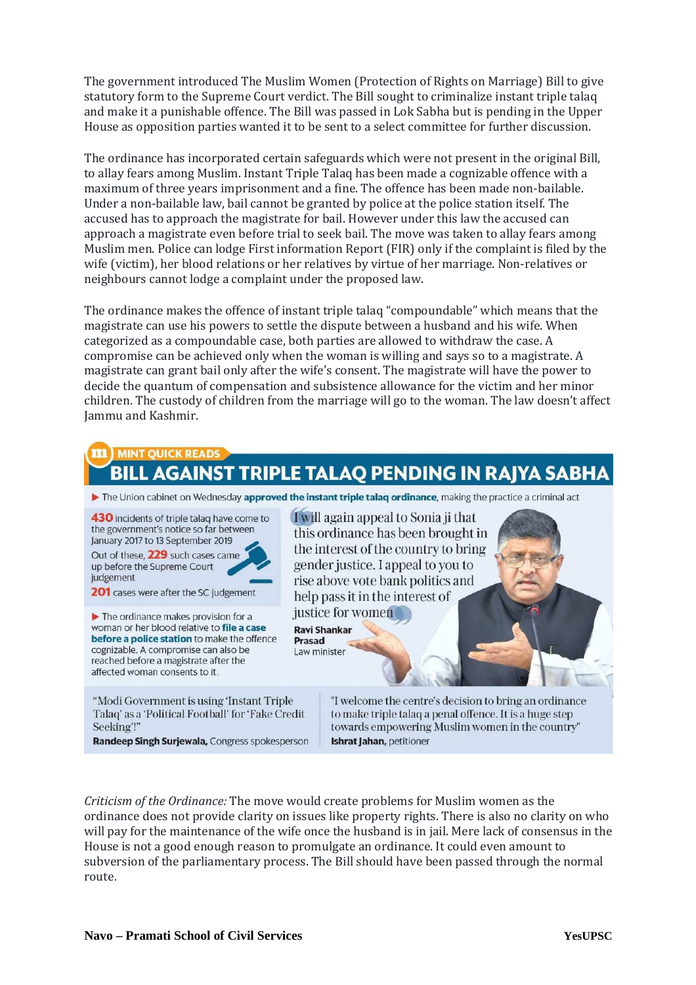The government introduced The Muslim Women (Protection of Rights on Marriage) Bill to give statutory form to the Supreme Court verdict. The Bill sought to criminalize instant triple talaq and make it a punishable offence. The Bill was passed in Lok Sabha but is pending in the Upper House as opposition parties wanted it to be sent to a select committee for further discussion.

The ordinance has incorporated certain safeguards which were not present in the original Bill, to allay fears among Muslim. Instant Triple Talaq has been made a cognizable offence with a maximum of three years imprisonment and a fine. The offence has been made non-bailable. Under a non-bailable law, bail cannot be granted by police at the police station itself. The accused has to approach the magistrate for bail. However under this law the accused can approach a magistrate even before trial to seek bail. The move was taken to allay fears among Muslim men. Police can lodge First information Report (FIR) only if the complaint is filed by the wife (victim), her blood relations or her relatives by virtue of her marriage. Non-relatives or neighbours cannot lodge a complaint under the proposed law.

The ordinance makes the offence of instant triple talaq "compoundable" which means that the magistrate can use his powers to settle the dispute between a husband and his wife. When categorized as a compoundable case, both parties are allowed to withdraw the case. A compromise can be achieved only when the woman is willing and says so to a magistrate. A magistrate can grant bail only after the wife's consent. The magistrate will have the power to decide the quantum of compensation and subsistence allowance for the victim and her minor children. The custody of children from the marriage will go to the woman. The law doesn't affect Jammu and Kashmir.

# **AGAINST TRIPLE TALAQ PENDING IN RAJYA SABHA**

The Union cabinet on Wednesday approved the instant triple talaq ordinance, making the practice a criminal act

430 incidents of triple talaq have come to the government's notice so far between January 2017 to 13 September 2019 Out of these, 229 such cases came up before the Supreme Court judgement

201 cases were after the SC judgement

 $\blacktriangleright$  The ordinance makes provision for a woman or her blood relative to file a case before a police station to make the offence cognizable. A compromise can also be reached before a magistrate after the affected woman consents to it.

"Modi Government is using 'Instant Triple Talag' as a 'Political Football' for 'Fake Credit Seeking'!"

Randeep Singh Surjewala, Congress spokesperson

I will again appeal to Sonia ji that this ordinance has been brought in the interest of the country to bring gender justice. I appeal to you to rise above vote bank politics and help pass it in the interest of justice for women

**Ravi Shankar Prasad** Law minister

> "I welcome the centre's decision to bring an ordinance to make triple talaq a penal offence. It is a huge step towards empowering Muslim women in the country" Ishrat Jahan, petitioner

*Criticism of the Ordinance:* The move would create problems for Muslim women as the ordinance does not provide clarity on issues like property rights. There is also no clarity on who will pay for the maintenance of the wife once the husband is in jail. Mere lack of consensus in the House is not a good enough reason to promulgate an ordinance. It could even amount to subversion of the parliamentary process. The Bill should have been passed through the normal route.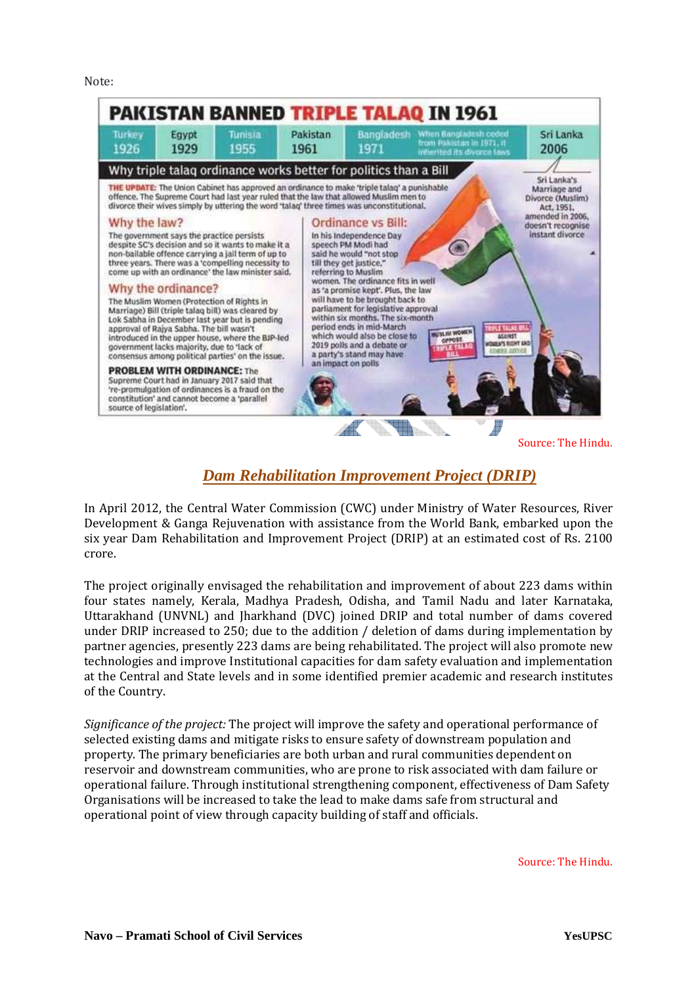Note:



### *Dam Rehabilitation Improvement Project (DRIP)*

In April 2012, the Central Water Commission (CWC) under Ministry of Water Resources, River Development & Ganga Rejuvenation with assistance from the World Bank, embarked upon the six year Dam Rehabilitation and Improvement Project (DRIP) at an estimated cost of Rs. 2100 crore.

The project originally envisaged the rehabilitation and improvement of about 223 dams within four states namely, Kerala, Madhya Pradesh, Odisha, and Tamil Nadu and later Karnataka, Uttarakhand (UNVNL) and Jharkhand (DVC) joined DRIP and total number of dams covered under DRIP increased to 250; due to the addition / deletion of dams during implementation by partner agencies, presently 223 dams are being rehabilitated. The project will also promote new technologies and improve Institutional capacities for dam safety evaluation and implementation at the Central and State levels and in some identified premier academic and research institutes of the Country.

*Significance of the project:* The project will improve the safety and operational performance of selected existing dams and mitigate risks to ensure safety of downstream population and property. The primary beneficiaries are both urban and rural communities dependent on reservoir and downstream communities, who are prone to risk associated with dam failure or operational failure. Through institutional strengthening component, effectiveness of Dam Safety Organisations will be increased to take the lead to make dams safe from structural and operational point of view through capacity building of staff and officials.

Source: The Hindu.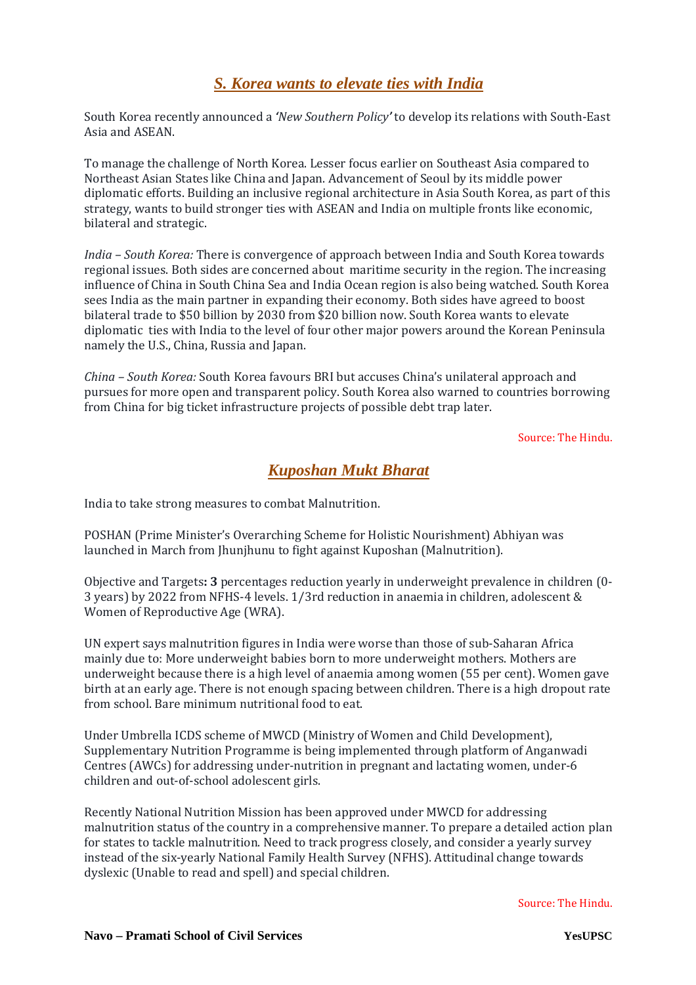#### *S. Korea wants to elevate ties with India*

South Korea recently announced a *'New Southern Policy'* to develop its relations with South-East Asia and ASEAN.

To manage the challenge of North Korea. Lesser focus earlier on Southeast Asia compared to Northeast Asian States like China and Japan. Advancement of Seoul by its middle power diplomatic efforts. Building an inclusive regional architecture in Asia South Korea, as part of this strategy, wants to build stronger ties with ASEAN and India on multiple fronts like economic, bilateral and strategic.

*India – South Korea:* There is convergence of approach between India and South Korea towards regional issues. Both sides are concerned about maritime security in the region. The increasing influence of China in South China Sea and India Ocean region is also being watched. South Korea sees India as the main partner in expanding their economy. Both sides have agreed to boost bilateral trade to \$50 billion by 2030 from \$20 billion now. South Korea wants to elevate diplomatic ties with India to the level of four other major powers around the Korean Peninsula namely the U.S., China, Russia and Japan.

*China – South Korea:* South Korea favours BRI but accuses China's unilateral approach and pursues for more open and transparent policy. South Korea also warned to countries borrowing from China for big ticket infrastructure projects of possible debt trap later.

Source: The Hindu.

### *Kuposhan Mukt Bharat*

India to take strong measures to combat Malnutrition.

POSHAN (Prime Minister's Overarching Scheme for Holistic Nourishment) Abhiyan was launched in March from Jhunjhunu to fight against Kuposhan (Malnutrition).

Objective and Targets**: 3** percentages reduction yearly in underweight prevalence in children (0- 3 years) by 2022 from NFHS-4 levels. 1/3rd reduction in anaemia in children, adolescent & Women of Reproductive Age (WRA).

UN expert says malnutrition figures in India were worse than those of sub-Saharan Africa mainly due to: More underweight babies born to more underweight mothers. Mothers are underweight because there is a high level of anaemia among women (55 per cent). Women gave birth at an early age. There is not enough spacing between children. There is a high dropout rate from school. Bare minimum nutritional food to eat.

Under Umbrella ICDS scheme of MWCD (Ministry of Women and Child Development), Supplementary Nutrition Programme is being implemented through platform of Anganwadi Centres (AWCs) for addressing under-nutrition in pregnant and lactating women, under-6 children and out-of-school adolescent girls.

Recently National Nutrition Mission has been approved under MWCD for addressing malnutrition status of the country in a comprehensive manner. To prepare a detailed action plan for states to tackle malnutrition. Need to track progress closely, and consider a yearly survey instead of the six-yearly National Family Health Survey (NFHS). Attitudinal change towards dyslexic (Unable to read and spell) and special children.

Source: The Hindu.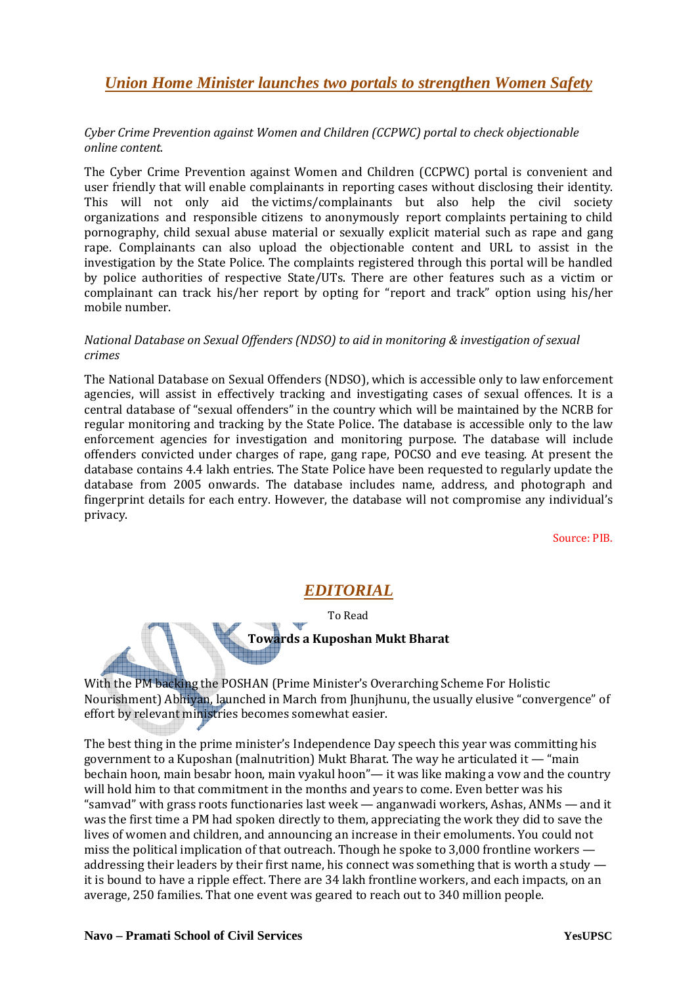#### *Union Home Minister launches two portals to strengthen Women Safety*

#### *Cyber Crime Prevention against Women and Children (CCPWC) portal to check objectionable online content.*

The Cyber Crime Prevention against Women and Children (CCPWC) portal is convenient and user friendly that will enable complainants in reporting cases without disclosing their identity. This will not only aid the victims/complainants but also help the civil society organizations and responsible citizens to anonymously report complaints pertaining to child pornography, child sexual abuse material or sexually explicit material such as rape and gang rape. Complainants can also upload the objectionable content and URL to assist in the investigation by the State Police. The complaints registered through this portal will be handled by police authorities of respective State/UTs. There are other features such as a victim or complainant can track his/her report by opting for "report and track" option using his/her mobile number.

#### *National Database on Sexual Offenders (NDSO) to aid in monitoring & investigation of sexual crimes*

The National Database on Sexual Offenders (NDSO), which is accessible only to law enforcement agencies, will assist in effectively tracking and investigating cases of sexual offences. It is a central database of "sexual offenders" in the country which will be maintained by the NCRB for regular monitoring and tracking by the State Police. The database is accessible only to the law enforcement agencies for investigation and monitoring purpose. The database will include offenders convicted under charges of rape, gang rape, POCSO and eve teasing. At present the database contains 4.4 lakh entries. The State Police have been requested to regularly update the database from 2005 onwards. The database includes name, address, and photograph and fingerprint details for each entry. However, the database will not compromise any individual's privacy.

Source: PIB.

#### *EDITORIAL*

To Read

**Towards a Kuposhan Mukt Bharat** 

With the PM backing the POSHAN (Prime Minister's Overarching Scheme For Holistic Nourishment) Abhiyan, launched in March from Jhunjhunu, the usually elusive "convergence" of effort by relevant ministries becomes somewhat easier.

The best thing in the prime minister's Independence Day speech this year was committing his government to a Kuposhan (malnutrition) Mukt Bharat. The way he articulated it  $-$  "main bechain hoon, main besabr hoon, main vyakul hoon"— it was like making a vow and the country will hold him to that commitment in the months and years to come. Even better was his "samvad" with grass roots functionaries last week — anganwadi workers, Ashas, ANMs — and it was the first time a PM had spoken directly to them, appreciating the work they did to save the lives of women and children, and announcing an increase in their emoluments. You could not miss the political implication of that outreach. Though he spoke to 3,000 frontline workers addressing their leaders by their first name, his connect was something that is worth a study it is bound to have a ripple effect. There are 34 lakh frontline workers, and each impacts, on an average, 250 families. That one event was geared to reach out to 340 million people.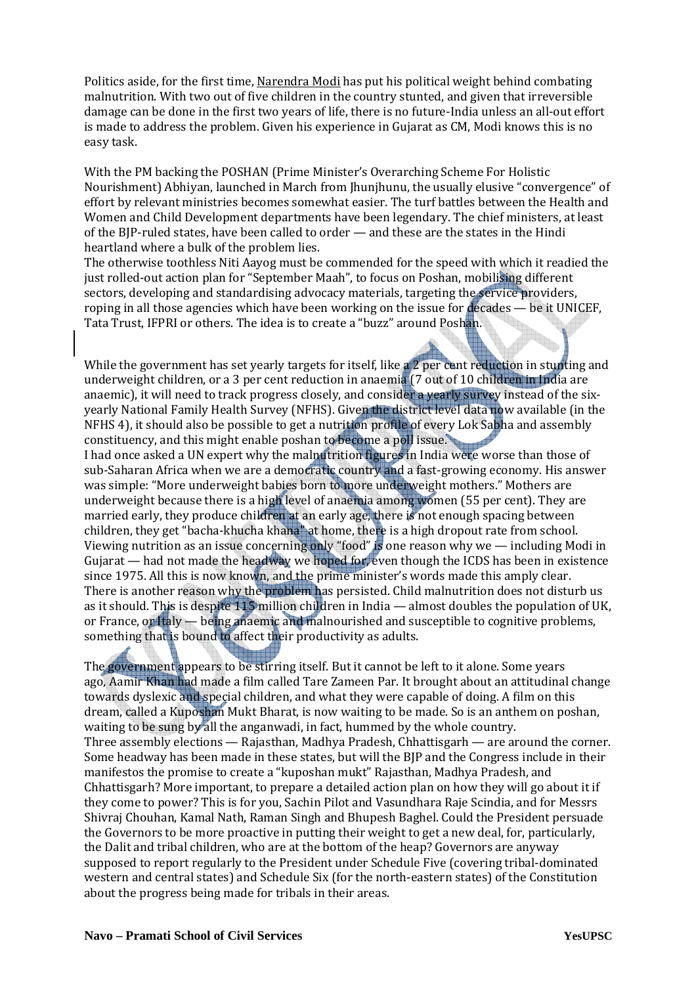Politics aside, for the first time, Narendra Modi has put his political weight behind combating malnutrition. With two out of five children in the country stunted, and given that irreversible damage can be done in the first two years of life, there is no future-India unless an all-out effort is made to address the problem. Given his experience in Gujarat as CM, Modi knows this is no easy task.

With the PM backing the POSHAN (Prime Minister's Overarching Scheme For Holistic Nourishment) Abhiyan, launched in March from Jhunjhunu, the usually elusive "convergence" of effort by relevant ministries becomes somewhat easier. The turf battles between the Health and Women and Child Development departments have been legendary. The chief ministers, at least of the BJP-ruled states, have been called to order — and these are the states in the Hindi heartland where a bulk of the problem lies.

The otherwise toothless Niti Aayog must be commended for the speed with which it readied the just rolled-out action plan for "September Maah", to focus on Poshan, mobilising different sectors, developing and standardising advocacy materials, targeting the service providers, roping in all those agencies which have been working on the issue for decades — be it UNICEF, Tata Trust, IFPRI or others. The idea is to create a "buzz" around Poshan.

While the government has set yearly targets for itself, like a 2 per cent reduction in stunting and underweight children, or a 3 per cent reduction in anaemia (7 out of 10 children in India are anaemic), it will need to track progress closely, and consider a yearly survey instead of the sixyearly National Family Health Survey (NFHS). Given the district level data now available (in the NFHS 4), it should also be possible to get a nutrition profile of every Lok Sabha and assembly constituency, and this might enable poshan to become a poll issue.

I had once asked a UN expert why the malnutrition figures in India were worse than those of sub-Saharan Africa when we are a democratic country and a fast-growing economy. His answer was simple: "More underweight babies born to more underweight mothers." Mothers are underweight because there is a high level of anaemia among women (55 per cent). They are married early, they produce children at an early age, there is not enough spacing between children, they get "bacha-khucha khana" at home, there is a high dropout rate from school. Viewing nutrition as an issue concerning only "food" is one reason why we — including Modi in Gujarat — had not made the headway we hoped for, even though the ICDS has been in existence since 1975. All this is now known, and the prime minister's words made this amply clear. There is another reason why the problem has persisted. Child malnutrition does not disturb us as it should. This is despite 115 million children in India — almost doubles the population of UK, or France, or Italy — being anaemic and malnourished and susceptible to cognitive problems, something that is bound to affect their productivity as adults.

The government appears to be stirring itself. But it cannot be left to it alone. Some years ago, Aamir Khan had made a film called Tare Zameen Par. It brought about an attitudinal change towards dyslexic and special children, and what they were capable of doing. A film on this dream, called a Kuposhan Mukt Bharat, is now waiting to be made. So is an anthem on poshan, waiting to be sung by all the anganwadi, in fact, hummed by the whole country. Three assembly elections — Rajasthan, Madhya Pradesh, Chhattisgarh — are around the corner. Some headway has been made in these states, but will the BJP and the Congress include in their manifestos the promise to create a "kuposhan mukt" Rajasthan, Madhya Pradesh, and Chhattisgarh? More important, to prepare a detailed action plan on how they will go about it if they come to power? This is for you, Sachin Pilot and Vasundhara Raje Scindia, and for Messrs Shivraj Chouhan, Kamal Nath, Raman Singh and Bhupesh Baghel. Could the President persuade the Governors to be more proactive in putting their weight to get a new deal, for, particularly, the Dalit and tribal children, who are at the bottom of the heap? Governors are anyway supposed to report regularly to the President under Schedule Five (covering tribal-dominated western and central states) and Schedule Six (for the north-eastern states) of the Constitution about the progress being made for tribals in their areas.